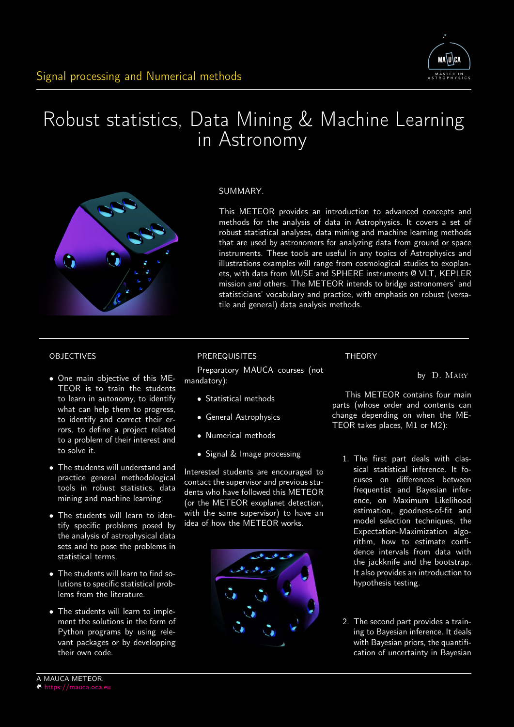

# Robust statistics, Data Mining & Machine Learning in Astronomy



# SUMMARY.

This METEOR provides an introduction to advanced concepts and methods for the analysis of data in Astrophysics. It covers a set of robust statistical analyses, data mining and machine learning methods that are used by astronomers for analyzing data from ground or space instruments. These tools are useful in any topics of Astrophysics and illustrations examples will range from cosmological studies to exoplanets, with data from MUSE and SPHERE instruments @ VLT, KEPLER mission and others. The METEOR intends to bridge astronomers' and statisticians' vocabulary and practice, with emphasis on robust (versatile and general) data analysis methods.

**THEORY** 

#### OBJECTIVES

- One main objective of this ME-TEOR is to train the students to learn in autonomy, to identify what can help them to progress, to identify and correct their errors, to define a project related to a problem of their interest and to solve it.
- The students will understand and practice general methodological tools in robust statistics, data mining and machine learning.
- The students will learn to identify specific problems posed by the analysis of astrophysical data sets and to pose the problems in statistical terms.
- The students will learn to find solutions to specific statistical problems from the literature.
- The students will learn to implement the solutions in the form of Python programs by using relevant packages or by developping their own code.

#### PREREQUISITES

Preparatory MAUCA courses (not mandatory):

- Statistical methods
- General Astrophysics
- Numerical methods
- Signal & Image processing

Interested students are encouraged to contact the supervisor and previous students who have followed this METEOR (or the METEOR exoplanet detection, with the same supervisor) to have an idea of how the METEOR works.



This METEOR contains four main parts (whose order and contents can change depending on when the ME-TEOR takes places, M1 or M2):

by D. MARY

- 1. The first part deals with classical statistical inference. It focuses on differences between frequentist and Bayesian inference, on Maximum Likelihood estimation, goodness-of-fit and model selection techniques, the Expectation-Maximization algorithm, how to estimate confidence intervals from data with the jackknife and the bootstrap. It also provides an introduction to hypothesis testing.
- 2. The second part provides a training to Bayesian inference. It deals with Bayesian priors, the quantification of uncertainty in Bayesian